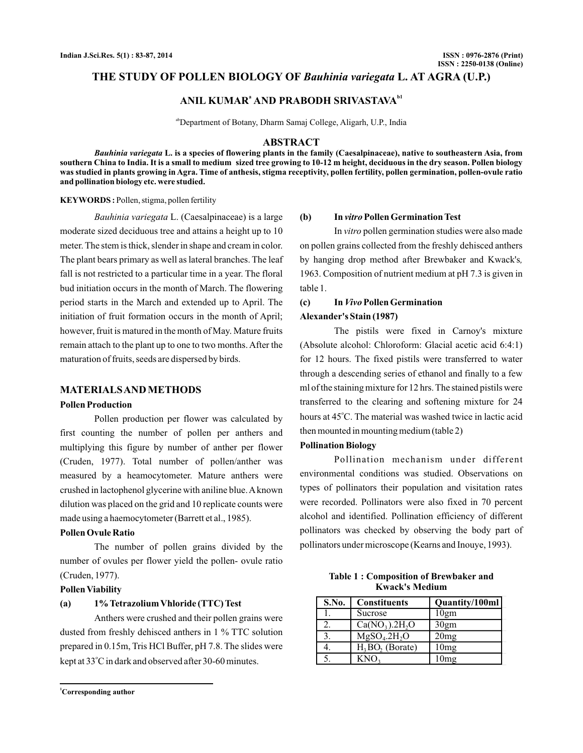## THE STUDY OF POLLEN BIOLOGY OF Bauhinia variegata L. AT AGRA (U.P.)

# ANIL KUMAR<sup>a</sup> AND PRABODH SRIVASTAVA<sup>b1</sup>

abDepartment of Botany, Dharm Samaj College, Aligarh, U.P., India

#### **ABSTRACT**

Bauhinia variegata L. is a species of flowering plants in the family (Caesalpinaceae), native to southeastern Asia, from southern China to India. It is a small to medium sized tree growing to 10-12 m height, deciduous in the dry season. Pollen biology **was studied in plants growing in Agra. Time of anthesis, stigma receptivity, pollen fertility, pollen germination, pollen-ovule ratio and pollination biology etc. were studied.**

#### **KEYWORDS :** Pollen, stigma, pollen fertility

Bauhinia variegata L. (Caesalpinaceae) is a large moderate sized deciduous tree and attains a height up to 10 meter. The stem is thick, slender in shape and cream in color. The plant bears primary as well as lateral branches. The leaf fall is not restricted to a particular time in a year. The floral bud initiation occurs in the month of March. The flowering period starts in the March and extended up to April. The initiation of fruit formation occurs in the month of April; however, fruit is matured in the month of May. Mature fruits remain attach to the plant up to one to two months. After the maturation of fruits, seeds are dispersed by birds.

#### **MATERIALSANDMETHODS**

#### **Pollen Production**

Pollen production per flower was calculated by first counting the number of pollen per anthers and multiplying this figure by number of anther per flower (Cruden, 1977). Total number of pollen/anther was measured by a heamocytometer. Mature anthers were crushed in lactophenol glycerine with aniline blue.A known dilution was placed on the grid and 10 replicate counts were made using a haemocytometer (Barrett et al., 1985).

## **Pollen Ovule Ratio**

The number of pollen grains divided by the number of ovules per flower yield the pollen- ovule ratio (Cruden, 1977).

#### **Pollen Viability**

#### **(a) 1%Tetrazolium Vhloride (TTC)Test**

Anthers were crushed and their pollen grains were dusted from freshly dehisced anthers in 1 % TTC solution prepared in 0.15m, Tris HCl Buffer, pH 7.8. The slides were kept at 33°C in dark and observed after 30-60 minutes.

**<sup>1</sup>Corresponding author**

#### (b) In *vitro* Pollen Germination Test

In *vitro* pollen germination studies were also made on pollen grains collected from the freshly dehisced anthers by hanging drop method after Brewbaker and Kwack's *,* 1963. Composition of nutrient medium at pH 7.3 is given in table 1.

## (c) In *Vivo* Pollen Germination

## **Alexander's Stain (1987)**

The pistils were fixed in Carnoy's mixture (Absolute alcohol: Chloroform: Glacial acetic acid 6:4:1) for 12 hours. The fixed pistils were transferred to water through a descending series of ethanol and finally to a few ml of the staining mixture for 12 hrs. The stained pistils were transferred to the clearing and softening mixture for 24 hours at 45°C. The material was washed twice in lactic acid then mounted in mounting medium (table 2)

#### **Pollination Biology**

Pollination mechanism under different environmental conditions was studied. Observations on types of pollinators their population and visitation rates were recorded. Pollinators were also fixed in 70 percent alcohol and identified. Pollination efficiency of different pollinators was checked by observing the body part of pollinators under microscope (Kearns and Inouye, 1993).

| <b>Table 1: Composition of Brewbaker and</b> |  |
|----------------------------------------------|--|
| <b>Kwack's Medium</b>                        |  |

| S.No. | <b>Constituents</b>          | Quantity/100ml |
|-------|------------------------------|----------------|
|       | Sucrose                      | 10gm           |
| 2.    | $Ca(NO3)$ .2H <sub>2</sub> O | 30gm           |
| 3.    | $MgSO4$ .2H <sub>2</sub> O   | 20mg           |
|       | $H_3BO_2$ (Borate)           | 10mg           |
|       | KNO.                         | 10mg           |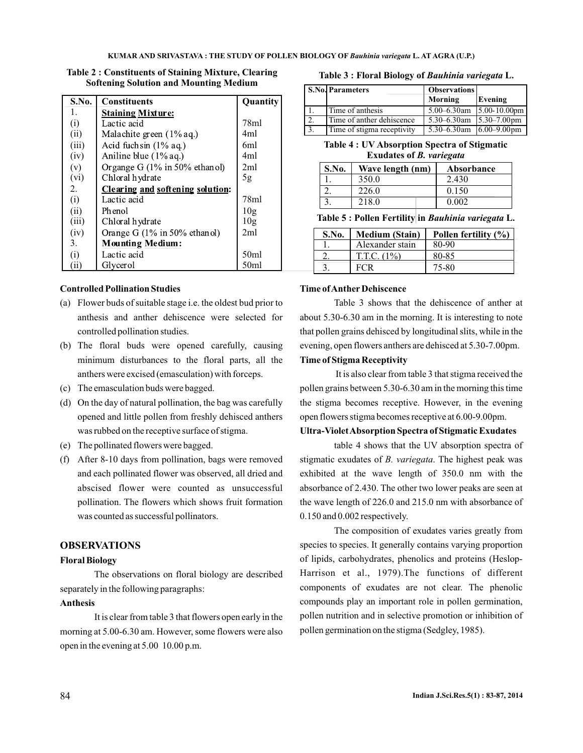| S.No. | <b>Constituents</b>                     | Quantity         |
|-------|-----------------------------------------|------------------|
| 1.    | <b>Staining Mixture:</b>                |                  |
| (i)   | Lactic acid                             | 78ml             |
| (ii)  | Malachite green (1% aq.)                | 4ml              |
| (iii) | Acid fuchsin $(1\%$ aq.)                | 6ml              |
| (iv)  | Aniline blue $(1\%$ aq.)                | 4ml              |
| (v)   | Organge G $(1\%$ in 50% ethanol)        | 2ml              |
| (vi)  | Chloral hydrate                         | 5g               |
| 2.    | <b>Clearing and softening solution:</b> |                  |
| (i)   | Lactic acid                             | 78ml             |
| (ii)  | Phenol                                  | 10g              |
| (iii) | Chloral hydrate                         | 10g              |
| (iv)  | Orange G (1% in 50% ethanol)            | 2ml              |
| 3.    | <b>Mounting Medium:</b>                 |                  |
| (i)   | Lactic acid                             | 50 <sub>ml</sub> |
| (iii) | Glycerol                                | 50ml             |

**Table 2 : Constituents of Staining Mixture, Clearing Softening Solution and Mounting Medium**

## **Controlled Pollination Studies**

- (a) Flower buds of suitable stage i.e. the oldest bud prior to anthesis and anther dehiscence were selected for controlled pollination studies.
- (b) The floral buds were opened carefully, causing minimum disturbances to the floral parts, all the anthers were excised (emasculation) with forceps.
- (c) The emasculation buds were bagged.
- (d) On the day of natural pollination, the bag was carefully opened and little pollen from freshly dehisced anthers was rubbed on the receptive surface of stigma.
- (e) The pollinated flowers were bagged.
- (f) After 8-10 days from pollination, bags were removed and each pollinated flower was observed, all dried and abscised flower were counted as unsuccessful pollination. The flowers which shows fruit formation was counted as successful pollinators.

## **OBSERVATIONS**

## **Floral Biology**

The observations on floral biology are described separately in the following paragraphs:

## **Anthesis**

It is clear from table 3 that flowers open early in the morning at 5.00-6.30 am. However, some flowers were also open in the evening at 5.00 10.00 p.m.

#### **Table 3 : Eloral Biology of Bauhinia variegata** L.

|    | S.No. Parameters           | <b>Observations</b>                           |                   |
|----|----------------------------|-----------------------------------------------|-------------------|
|    |                            | Morning                                       | Evening           |
|    | Time of anthesis           | $5.00 - 6.30$ am                              | $5.00 - 10.00$ pm |
| 2. | Time of anther dehiscence  | $5.30 - 6.30$ am                              | $5.30 - 7.00$ pm  |
|    | Time of stigma receptivity | 5.30–6.30am $\left  6.00 - 9.00 \right $ form |                   |

**Table 4 : UV Absorption Spectra of Stigmatic Exudates of** *B. variegata*

| S.No. | Wave length (nm) | Absorbance |
|-------|------------------|------------|
|       | 350.0            | 2.430      |
|       | 226.0            | 0.150      |
|       | 218.0            | 0.002      |
|       |                  |            |

Table 5 : Pollen Fertility in *Bauhinia variegata* L.

| S.No. | <b>Medium</b> (Stain) | Pollen fertility (%) |
|-------|-----------------------|----------------------|
|       | Alexander stain       | 80-90                |
|       | T.T.C. (1%)           | 80-85                |
|       |                       | 75-80                |

## **Time ofAnther Dehiscence**

Table 3 shows that the dehiscence of anther at about 5.30-6.30 am in the morning. It is interesting to note that pollen grains dehisced by longitudinal slits, while in the evening, open flowers anthers are dehisced at 5.30-7.00pm.

## **Time of Stigma Receptivity**

It is also clear from table 3 that stigma received the pollen grains between 5.30-6.30 am in the morning this time the stigma becomes receptive. However, in the evening open flowers stigma becomes receptive at 6.00-9.00pm.

## **Ultra-VioletAbsorption Spectra of Stigmatic Exudates**

table 4 shows that the UV absorption spectra of stigmatic exudates of *B. variegata*. The highest peak was exhibited at the wave length of 350.0 nm with the absorbance of 2.430. The other two lower peaks are seen at the wave length of 226.0 and 215.0 nm with absorbance of 0.150 and 0.002 respectively.

The composition of exudates varies greatly from species to species. It generally contains varying proportion of lipids, carbohydrates, phenolics and proteins (Heslop-Harrison et al., 1979).The functions of different components of exudates are not clear. The phenolic compounds play an important role in pollen germination, pollen nutrition and in selective promotion or inhibition of pollen germination on the stigma (Sedgley, 1985).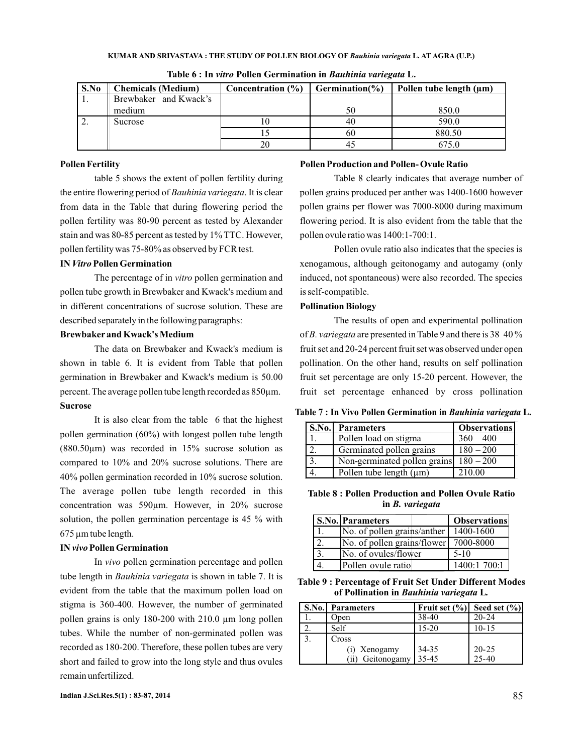| S.No | <b>Chemicals</b> (Medium) | Concentration (%) | Germination( $\%$ ) | Pollen tube length (um) |
|------|---------------------------|-------------------|---------------------|-------------------------|
| -1.  | Brewbaker and Kwack's     |                   |                     |                         |
|      | medium                    |                   | 50                  | 850.0                   |
| 2.   | Sucrose                   | 10                | 40                  | 590.0                   |
|      |                           |                   | 60                  | 880.50                  |
|      |                           | 20                |                     | 675.0                   |

**Table 6 : In vitro Pollen Germination in Bauhinia variegata L.** 

### **Pollen Fertility**

table 5 shows the extent of pollen fertility during the entire flowering period of *Bauhinia variegata*. It is clear from data in the Table that during flowering period the pollen fertility was 80-90 percent as tested by Alexander stain and was 80-85 percent as tested by 1% TTC. However, pollen fertility was 75-80% as observed by FCR test.

#### IN Vitro Pollen Germination

The percentage of in vitro pollen germination and pollen tube growth in Brewbaker and Kwack's medium and in different concentrations of sucrose solution. These are described separately in the following paragraphs:

## **Brewbaker and Kwack'sMedium**

**Sucrose** The data on Brewbaker and Kwack's medium is shown in table 6. It is evident from Table that pollen germination in Brewbaker and Kwack's medium is 50.00 percent. The average pollen tube length recorded as 850µm.

It is also clear from the table 6 that the highest pollen germination (60%) with longest pollen tube length ( $880.50\mu$ m) was recorded in 15% sucrose solution as compared to 10% and 20% sucrose solutions. There are 40% pollen germination recorded in 10% sucrose solution. The average pollen tube length recorded in this concentration was 590µm. However, in 20% sucrose solution, the pollen germination percentage is 45 % with 675 µm tube length.

#### IN *vivo* Pollen Germination

In vivo pollen germination percentage and pollen tube length in *Bauhinia variegata* is shown in table 7. It is evident from the table that the maximum pollen load on stigma is 360-400. However, the number of germinated pollen grains is only 180-200 with 210.0 µm long pollen tubes. While the number of non-germinated pollen was recorded as 180-200. Therefore, these pollen tubes are very short and failed to grow into the long style and thus ovules remain unfertilized.

### **Pollen Production and Pollen- Ovule Ratio**

Table 8 clearly indicates that average number of pollen grains produced per anther was 1400-1600 however pollen grains per flower was 7000-8000 during maximum flowering period. It is also evident from the table that the pollen ovule ratio was 1400:1-700:1.

Pollen ovule ratio also indicates that the species is xenogamous, although geitonogamy and autogamy (only induced, not spontaneous) were also recorded. The species is self-compatible.

## **Pollination Biology**

The results of open and experimental pollination of *B. variegata* are presented in Table 9 and there is 38 40 % fruit set and 20-24 percent fruit set was observed under open pollination. On the other hand, results on self pollination fruit set percentage are only 15-20 percent. However, the fruit set percentage enhanced by cross pollination

Table 7 : In Vivo Pollen Germination in Bauhinia variegata L.

| <b>S.No.</b>     | <b>Parameters</b>            | <b>Observations</b> |
|------------------|------------------------------|---------------------|
|                  | Pollen load on stigma        | $360 - 400$         |
| $\gamma$         | Germinated pollen grains     | $180 - 200$         |
| $\overline{3}$ . | Non-germinated pollen grains | $180 - 200$         |
|                  | Pollen tube length $(\mu m)$ | 210.00              |

**Table 8 : Pollen Production and Pollen Ovule Ratio in** *B. variegata*

| <b>S.No. Parameters</b>               | <b>Observations</b> |
|---------------------------------------|---------------------|
| No. of pollen grains/anther 1400-1600 |                     |
| No. of pollen grains/flower           | 7000-8000           |
| No. of ovules/flower                  | $5-10$              |
| Pollen ovule ratio                    | 1400:1 700:1        |

**Table 9 : Percentage of Fruit Set Under Different Modes** of Pollination in *Bauhinia variegata* L.

| <b>S.No.</b> Parameters | Fruit set $(\% )$ | Seed set $(\% )$ |
|-------------------------|-------------------|------------------|
| Open                    | 38-40             | $20 - 24$        |
| Self                    | 15-20             | $10 - 15$        |
| Cross                   |                   |                  |
| (i) Xenogamy            | 34-35             | $20 - 25$        |
| Geitonogamy<br>(ii)     | 35-45             | $25 - 40$        |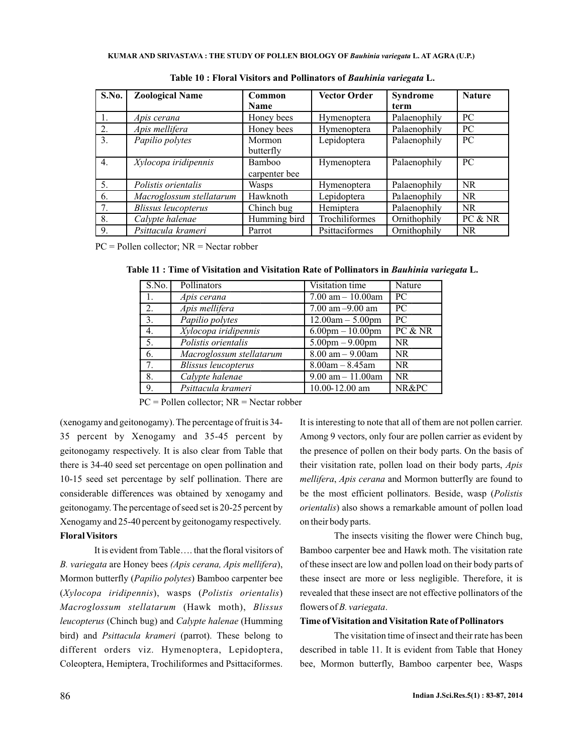| S.No. | <b>Zoological Name</b>     | Common        | <b>Vector Order</b> | Syndrome     | <b>Nature</b> |
|-------|----------------------------|---------------|---------------------|--------------|---------------|
|       |                            | <b>Name</b>   |                     | term         |               |
| 1.    | Apis cerana                | Honey bees    | Hymenoptera         | Palaenophily | PC.           |
| 2.    | Apis mellifera             | Honey bees    | Hymenoptera         | Palaenophily | PC            |
| 3.    | Papilio polytes            | Mormon        | Lepidoptera         | Palaenophily | PC            |
|       |                            | butterfly     |                     |              |               |
| 4.    | Xylocopa iridipennis       | Bamboo        | Hymenoptera         | Palaenophily | PC.           |
|       |                            | carpenter bee |                     |              |               |
| 5.    | Polistis orientalis        | Wasps         | Hymenoptera         | Palaenophily | <b>NR</b>     |
| 6.    | Macroglossum stellatarum   | Hawknoth      | Lepidoptera         | Palaenophily | <b>NR</b>     |
| 7.    | <b>Blissus leucopterus</b> | Chinch bug    | Hemiptera           | Palaenophily | <b>NR</b>     |
| 8.    | Calypte halenae            | Humming bird  | Trochiliformes      | Ornithophily | PC & NR       |
| 9.    | Psittacula krameri         | Parrot        | Psittaciformes      | Ornithophily | NR.           |

Table 10 : Floral Visitors and Pollinators of Bauhinia variegata L.

PC = Pollen collector; NR = Nectar robber

| S.No. | Pollinators                | Visitation time                   | Nature    |
|-------|----------------------------|-----------------------------------|-----------|
| 1.    | Apis cerana                | $7.00$ am $- 10.00$ am            | PC.       |
| 2.    | Apis mellifera             | 7.00 am $-9.00$ am                | PC.       |
| 3.    | Papilio polytes            | $12.00am - 5.00pm$                | PC.       |
| 4.    | Xylocopa iridipennis       | $6.00$ pm $-10.00$ pm             | PC & NR   |
| 5.    | Polistis orientalis        | $5.00 \text{pm} - 9.00 \text{pm}$ | <b>NR</b> |
| 6.    | Macroglossum stellatarum   | $8.00$ am $- 9.00$ am             | <b>NR</b> |
| 7.    | <b>Blissus leucopterus</b> | $8.00am - 8.45am$                 | <b>NR</b> |
| 8.    | Calypte halenae            | $9.00$ am $-11.00$ am             | <b>NR</b> |
| 9.    | Psittacula krameri         | 10.00-12.00 am                    | NR&PC     |

Table 11 : Time of Visitation and Visitation Rate of Pollinators in Bauhinia variegata L.

PC = Pollen collector; NR = Nectar robber

(xenogamy and geitonogamy). The percentage of fruit is 34- 35 percent by Xenogamy and 35-45 percent by geitonogamy respectively. It is also clear from Table that there is 34-40 seed set percentage on open pollination and 10-15 seed set percentage by self pollination. There are considerable differences was obtained by xenogamy and geitonogamy. The percentage of seed set is 20-25 percent by Xenogamy and 25-40 percent by geitonogamy respectively. **Floral Visitors**

It is evident from Table…. that the floral visitors of B. variegata are Honey bees (Apis cerana, Apis mellifera), Mormon butterfly (Papilio polytes) Bamboo carpenter bee (Xylocopa iridipennis), wasps (Polistis orientalis) Macroglossum stellatarum (Hawk moth), Blissus *leucopterus* (Chinch bug) and *Calypte halenae* (Humming bird) and *Psittacula krameri* (parrot). These belong to different orders viz. Hymenoptera, Lepidoptera, Coleoptera, Hemiptera, Trochiliformes and Psittaciformes.

It is interesting to note that all of them are not pollen carrier. Among 9 vectors, only four are pollen carrier as evident by the presence of pollen on their body parts. On the basis of their visitation rate, pollen load on their body parts, *Apis* mellifera, Apis cerana and Mormon butterfly are found to be the most efficient pollinators. Beside, wasp ( *Polistis orientalis*) also shows a remarkable amount of pollen load on their body parts.

The insects visiting the flower were Chinch bug, Bamboo carpenter bee and Hawk moth. The visitation rate of these insect are low and pollen load on their body parts of these insect are more or less negligible. Therefore, it is revealed that these insect are not effective pollinators of the flowers of *B. variegata*.

## **Time of Visitation and Visitation Rate of Pollinators**

The visitation time of insect and their rate has been described in table 11. It is evident from Table that Honey bee, Mormon butterfly, Bamboo carpenter bee, Wasps